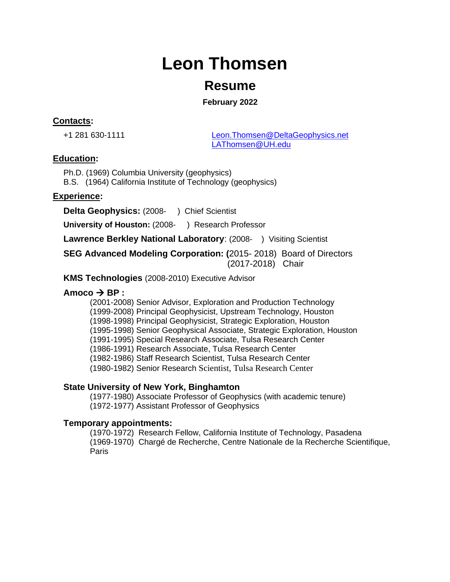# **Leon Thomsen**

# **Resume**

**February 2022**

# **Contacts:**

+1 281 630-1111 [Leon.Thomsen@DeltaGeophysics.net](mailto:Leon.Thomsen@DeltaGeophysics.net) [LAThomsen@UH.edu](mailto:LAThomsen@UH.edu)

### **Education:**

Ph.D. (1969) Columbia University (geophysics) B.S. (1964) California Institute of Technology (geophysics)

### **Experience:**

**Delta Geophysics:** (2008- ) Chief Scientist

**University of Houston:** (2008- ) Research Professor

**Lawrence Berkley National Laboratory: (2008-) Visiting Scientist** 

**SEG Advanced Modeling Corporation: (**2015- 2018) Board of Directors (2017-2018) Chair

**KMS Technologies** (2008-2010) Executive Advisor

## $\mathsf{Amoco} \rightarrow \mathsf{BP}$ :

(2001-2008) Senior Advisor, Exploration and Production Technology (1999-2008) Principal Geophysicist, Upstream Technology, Houston (1998-1998) Principal Geophysicist, Strategic Exploration, Houston (1995-1998) Senior Geophysical Associate, Strategic Exploration, Houston (1991-1995) Special Research Associate, Tulsa Research Center (1986-1991) Research Associate, Tulsa Research Center (1982-1986) Staff Research Scientist, Tulsa Research Center (1980-1982) Senior Research Scientist, Tulsa Research Center

# **State University of New York, Binghamton**

(1977-1980) Associate Professor of Geophysics (with academic tenure) (1972-1977) Assistant Professor of Geophysics

#### **Temporary appointments:**

(1970-1972) Research Fellow, California Institute of Technology, Pasadena (1969-1970) Chargé de Recherche, Centre Nationale de la Recherche Scientifique, Paris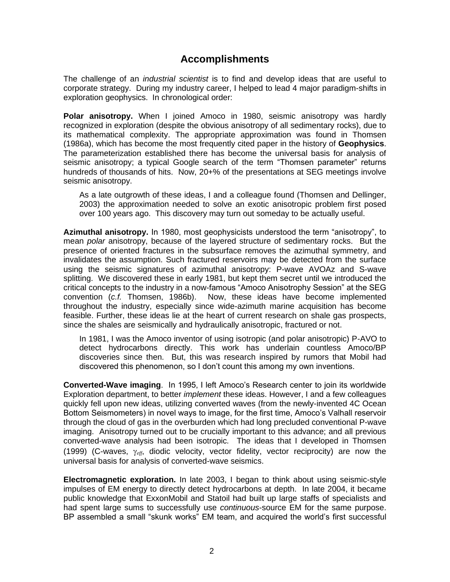# **Accomplishments**

The challenge of an *industrial scientist* is to find and develop ideas that are useful to corporate strategy. During my industry career, I helped to lead 4 major paradigm-shifts in exploration geophysics. In chronological order:

**Polar anisotropy.** When I joined Amoco in 1980, seismic anisotropy was hardly recognized in exploration (despite the obvious anisotropy of all sedimentary rocks), due to its mathematical complexity. The appropriate approximation was found in Thomsen (1986a), which has become the most frequently cited paper in the history of **Geophysics**. The parameterization established there has become the universal basis for analysis of seismic anisotropy; a typical Google search of the term "Thomsen parameter" returns hundreds of thousands of hits. Now, 20+% of the presentations at SEG meetings involve seismic anisotropy.

As a late outgrowth of these ideas, I and a colleague found (Thomsen and Dellinger, 2003) the approximation needed to solve an exotic anisotropic problem first posed over 100 years ago. This discovery may turn out someday to be actually useful.

**Azimuthal anisotropy.** In 1980, most geophysicists understood the term "anisotropy", to mean *polar* anisotropy, because of the layered structure of sedimentary rocks. But the presence of oriented fractures in the subsurface removes the azimuthal symmetry, and invalidates the assumption. Such fractured reservoirs may be detected from the surface using the seismic signatures of azimuthal anisotropy: P-wave AVOAz and S-wave splitting. We discovered these in early 1981, but kept them secret until we introduced the critical concepts to the industry in a now-famous "Amoco Anisotrophy Session" at the SEG convention (*c.f.* Thomsen, 1986b). Now, these ideas have become implemented throughout the industry, especially since wide-azimuth marine acquisition has become feasible. Further, these ideas lie at the heart of current research on shale gas prospects, since the shales are seismically and hydraulically anisotropic, fractured or not.

In 1981, I was the Amoco inventor of using isotropic (and polar anisotropic) P-AVO to detect hydrocarbons directly. This work has underlain countless Amoco/BP discoveries since then. But, this was research inspired by rumors that Mobil had discovered this phenomenon, so I don't count this among my own inventions.

**Converted-Wave imaging**. In 1995, I left Amoco's Research center to join its worldwide Exploration department, to better *implement* these ideas. However, I and a few colleagues quickly fell upon new ideas, utilizing converted waves (from the newly-invented 4C Ocean Bottom Seismometers) in novel ways to image, for the first time, Amoco's Valhall reservoir through the cloud of gas in the overburden which had long precluded conventional P-wave imaging. Anisotropy turned out to be crucially important to this advance; and all previous converted-wave analysis had been isotropic. The ideas that I developed in Thomsen (1999) (C-waves,  $\gamma_{\text{eff}}$ , diodic velocity, vector fidelity, vector reciprocity) are now the universal basis for analysis of converted-wave seismics.

**Electromagnetic exploration.** In late 2003, I began to think about using seismic-style impulses of EM energy to directly detect hydrocarbons at depth. In late 2004, it became public knowledge that ExxonMobil and Statoil had built up large staffs of specialists and had spent large sums to successfully use *continuous*-source EM for the same purpose. BP assembled a small "skunk works" EM team, and acquired the world's first successful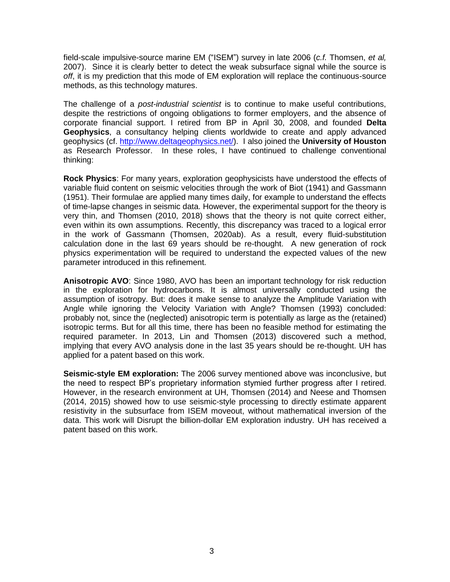field-scale impulsive-source marine EM ("ISEM") survey in late 2006 (*c.f.* Thomsen, *et al,* 2007). Since it is clearly better to detect the weak subsurface signal while the source is *off*, it is my prediction that this mode of EM exploration will replace the continuous-source methods, as this technology matures.

The challenge of a *post-industrial scientist* is to continue to make useful contributions, despite the restrictions of ongoing obligations to former employers, and the absence of corporate financial support. I retired from BP in April 30, 2008, and founded **Delta Geophysics**, a consultancy helping clients worldwide to create and apply advanced geophysics (cf. [http://www.deltageophysics.net/\)](http://www.deltageophysics.net/). I also joined the **University of Houston** as Research Professor. In these roles, I have continued to challenge conventional thinking:

**Rock Physics**: For many years, exploration geophysicists have understood the effects of variable fluid content on seismic velocities through the work of Biot (1941) and Gassmann (1951). Their formulae are applied many times daily, for example to understand the effects of time-lapse changes in seismic data. However, the experimental support for the theory is very thin, and Thomsen (2010, 2018) shows that the theory is not quite correct either, even within its own assumptions. Recently, this discrepancy was traced to a logical error in the work of Gassmann (Thomsen, 2020ab). As a result, every fluid-substitution calculation done in the last 69 years should be re-thought. A new generation of rock physics experimentation will be required to understand the expected values of the new parameter introduced in this refinement.

**Anisotropic AVO**: Since 1980, AVO has been an important technology for risk reduction in the exploration for hydrocarbons. It is almost universally conducted using the assumption of isotropy. But: does it make sense to analyze the Amplitude Variation with Angle while ignoring the Velocity Variation with Angle? Thomsen (1993) concluded: probably not, since the (neglected) anisotropic term is potentially as large as the (retained) isotropic terms. But for all this time, there has been no feasible method for estimating the required parameter. In 2013, Lin and Thomsen (2013) discovered such a method, implying that every AVO analysis done in the last 35 years should be re-thought. UH has applied for a patent based on this work.

**Seismic-style EM exploration:** The 2006 survey mentioned above was inconclusive, but the need to respect BP's proprietary information stymied further progress after I retired. However, in the research environment at UH, Thomsen (2014) and Neese and Thomsen (2014, 2015) showed how to use seismic-style processing to directly estimate apparent resistivity in the subsurface from ISEM moveout, without mathematical inversion of the data. This work will Disrupt the billion-dollar EM exploration industry. UH has received a patent based on this work.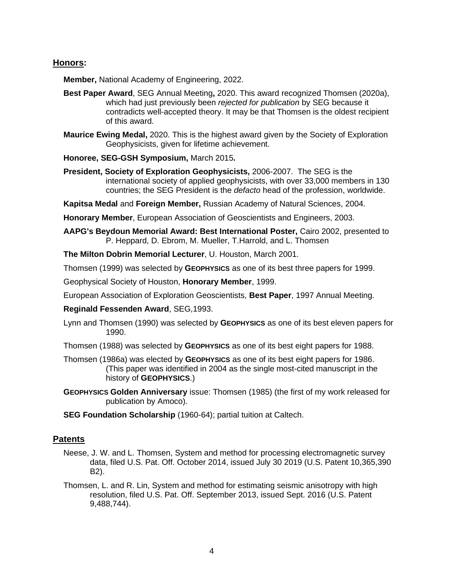#### **Honors:**

**Member,** National Academy of Engineering, 2022.

- **Best Paper Award**, SEG Annual Meeting**,** 2020. This award recognized Thomsen (2020a), which had just previously been *rejected for publication* by SEG because it contradicts well-accepted theory. It may be that Thomsen is the oldest recipient of this award.
- **Maurice Ewing Medal,** 2020. This is the highest award given by the Society of Exploration Geophysicists, given for lifetime achievement.
- **Honoree, SEG-GSH Symposium,** March 2015**.**
- **President, Society of Exploration Geophysicists,** 2006-2007. The SEG is the international society of applied geophysicists, with over 33,000 members in 130 countries; the SEG President is the *defacto* head of the profession, worldwide.

**Kapitsa Medal** and **Foreign Member,** Russian Academy of Natural Sciences, 2004.

**Honorary Member**, European Association of Geoscientists and Engineers, 2003.

**AAPG's Beydoun Memorial Award: Best International Poster,** Cairo 2002, presented to P. Heppard, D. Ebrom, M. Mueller, T.Harrold, and L. Thomsen

**The Milton Dobrin Memorial Lecturer**, U. Houston, March 2001.

Thomsen (1999) was selected by **GEOPHYSICS** as one of its best three papers for 1999.

Geophysical Society of Houston, **Honorary Member**, 1999.

European Association of Exploration Geoscientists, **Best Paper**, 1997 Annual Meeting.

- **Reginald Fessenden Award**, SEG,1993.
- Lynn and Thomsen (1990) was selected by **GEOPHYSICS** as one of its best eleven papers for 1990.
- Thomsen (1988) was selected by **GEOPHYSICS** as one of its best eight papers for 1988.
- Thomsen (1986a) was elected by **GEOPHYSICS** as one of its best eight papers for 1986. (This paper was identified in 2004 as the single most-cited manuscript in the history of **GEOPHYSICS**.)
- **GEOPHYSICS Golden Anniversary** issue: Thomsen (1985) (the first of my work released for publication by Amoco).
- **SEG Foundation Scholarship** (1960-64); partial tuition at Caltech.

#### **Patents**

- Neese, J. W. and L. Thomsen, System and method for processing electromagnetic survey data, filed U.S. Pat. Off. October 2014, issued July 30 2019 (U.S. Patent 10,365,390 B2).
- Thomsen, L. and R. Lin, System and method for estimating seismic anisotropy with high resolution, filed U.S. Pat. Off. September 2013, issued Sept. 2016 (U.S. Patent 9,488,744).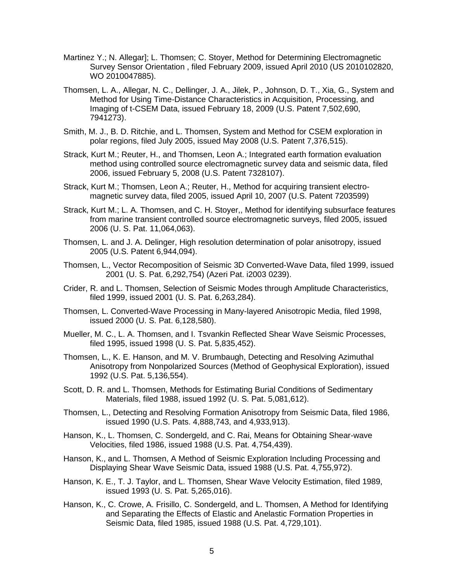- Martinez Y.; N. Allegar]; L. Thomsen; C. Stoyer, Method for Determining Electromagnetic Survey Sensor Orientation , filed February 2009, issued April 2010 (US 2010102820, WO 2010047885).
- Thomsen, L. A., Allegar, N. C., Dellinger, J. A., Jilek, P., Johnson, D. T., Xia, G., System and Method for Using Time-Distance Characteristics in Acquisition, Processing, and Imaging of t-CSEM Data, issued February 18, 2009 (U.S. Patent 7,502,690, 7941273).
- Smith, M. J., B. D. Ritchie, and L. Thomsen, System and Method for CSEM exploration in polar regions, filed July 2005, issued May 2008 (U.S. Patent 7,376,515).
- Strack, Kurt M.; Reuter, H., and Thomsen, Leon A.; Integrated earth formation evaluation method using controlled source electromagnetic survey data and seismic data, filed 2006, issued February 5, 2008 (U.S. Patent 7328107).
- Strack, Kurt M.; Thomsen, Leon A.; Reuter, H., Method for acquiring transient electromagnetic survey data, filed 2005, issued April 10, 2007 (U.S. Patent 7203599)
- Strack, Kurt M.; L. A. Thomsen, and C. H. Stoyer,, Method for identifying subsurface features from marine transient controlled source electromagnetic surveys, filed 2005, issued 2006 (U. S. Pat. 11,064,063).
- Thomsen, L. and J. A. Delinger, High resolution determination of polar anisotropy, issued 2005 (U.S. Patent 6,944,094).
- Thomsen, L., Vector Recomposition of Seismic 3D Converted-Wave Data, filed 1999, issued 2001 (U. S. Pat. 6,292,754) (Azeri Pat. i2003 0239).
- Crider, R. and L. Thomsen, Selection of Seismic Modes through Amplitude Characteristics, filed 1999, issued 2001 (U. S. Pat. 6,263,284).
- Thomsen, L. Converted-Wave Processing in Many-layered Anisotropic Media, filed 1998, issued 2000 (U. S. Pat. 6,128,580).
- Mueller, M. C., L. A. Thomsen, and I. Tsvankin Reflected Shear Wave Seismic Processes, filed 1995, issued 1998 (U. S. Pat. 5,835,452).
- Thomsen, L., K. E. Hanson, and M. V. Brumbaugh, Detecting and Resolving Azimuthal Anisotropy from Nonpolarized Sources (Method of Geophysical Exploration), issued 1992 (U.S. Pat. 5,136,554).
- Scott, D. R. and L. Thomsen, Methods for Estimating Burial Conditions of Sedimentary Materials, filed 1988, issued 1992 (U. S. Pat. 5,081,612).
- Thomsen, L., Detecting and Resolving Formation Anisotropy from Seismic Data, filed 1986, issued 1990 (U.S. Pats. 4,888,743, and 4,933,913).
- Hanson, K., L. Thomsen, C. Sondergeld, and C. Rai, Means for Obtaining Shear-wave Velocities, filed 1986, issued 1988 (U.S. Pat. 4,754,439).
- Hanson, K., and L. Thomsen, A Method of Seismic Exploration Including Processing and Displaying Shear Wave Seismic Data, issued 1988 (U.S. Pat. 4,755,972).
- Hanson, K. E., T. J. Taylor, and L. Thomsen, Shear Wave Velocity Estimation, filed 1989, issued 1993 (U. S. Pat. 5,265,016).
- Hanson, K., C. Crowe, A. Frisillo, C. Sondergeld, and L. Thomsen, A Method for Identifying and Separating the Effects of Elastic and Anelastic Formation Properties in Seismic Data, filed 1985, issued 1988 (U.S. Pat. 4,729,101).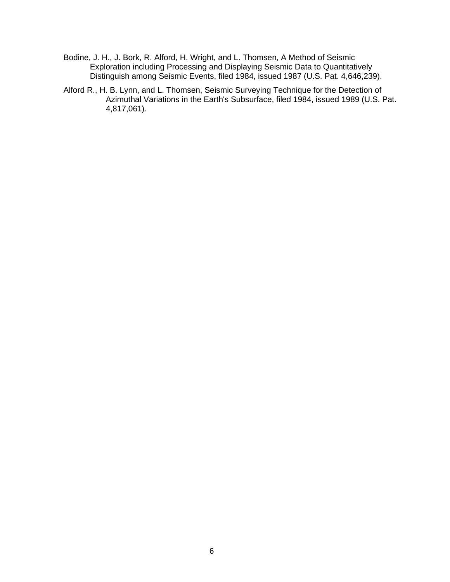- Bodine, J. H., J. Bork, R. Alford, H. Wright, and L. Thomsen, A Method of Seismic Exploration including Processing and Displaying Seismic Data to Quantitatively Distinguish among Seismic Events, filed 1984, issued 1987 (U.S. Pat. 4,646,239).
- Alford R., H. B. Lynn, and L. Thomsen, Seismic Surveying Technique for the Detection of Azimuthal Variations in the Earth's Subsurface, filed 1984, issued 1989 (U.S. Pat. 4,817,061).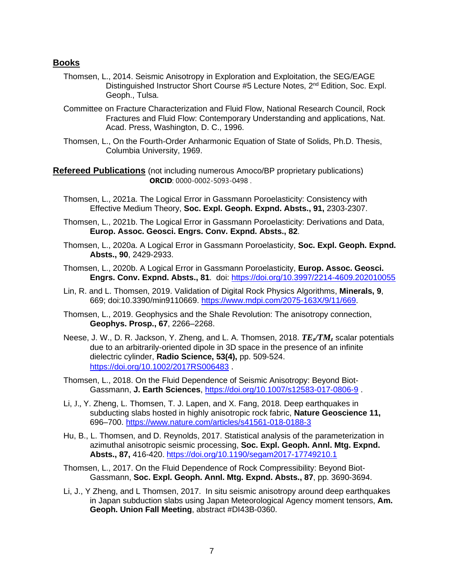#### **Books**

- Thomsen, L., 2014. Seismic Anisotropy in Exploration and Exploitation, the SEG/EAGE Distinguished Instructor Short Course #5 Lecture Notes, 2<sup>nd</sup> Edition, Soc. Expl. Geoph., Tulsa.
- Committee on Fracture Characterization and Fluid Flow, National Research Council, Rock Fractures and Fluid Flow: Contemporary Understanding and applications, Nat. Acad. Press, Washington, D. C., 1996.
- Thomsen, L., On the Fourth-Order Anharmonic Equation of State of Solids, Ph.D. Thesis, Columbia University, 1969.

**Refereed Publications** (not including numerous Amoco/BP proprietary publications) **ORCID**: 0000-0002-5093-0498 .

- Thomsen, L., 2021a. The Logical Error in Gassmann Poroelasticity: Consistency with Effective Medium Theory, **Soc. Expl. Geoph. Expnd. Absts., 91,** 2303-2307.
- Thomsen, L., 2021b. The Logical Error in Gassmann Poroelasticity: Derivations and Data, **Europ. Assoc. Geosci. Engrs. Conv. Expnd. Absts., 82**.
- Thomsen, L., 2020a. A Logical Error in Gassmann Poroelasticity, **Soc. Expl. Geoph. Expnd. Absts., 90**, 2429-2933.
- Thomsen, L., 2020b. A Logical Error in Gassmann Poroelasticity, **Europ. Assoc. Geosci. Engrs. Conv. Expnd. Absts., 81**. doi: <https://doi.org/10.3997/2214-4609.202010055>
- Lin, R. and L. Thomsen, 2019. Validation of Digital Rock Physics Algorithms, **Minerals, 9**, 669; doi:10.3390/min9110669. [https://www.mdpi.com/2075-163X/9/11/669.](https://www.mdpi.com/2075-163X/9/11/669)
- Thomsen, L., 2019. Geophysics and the Shale Revolution: The anisotropy connection, **Geophys. Prosp., 67**, 2266–2268.
- Neese, J. W., D. R. Jackson, Y. Zheng, and L. A. Thomsen, 2018. *TEz/TM<sup>z</sup>* scalar potentials due to an arbitrarily-oriented dipole in 3D space in the presence of an infinite dielectric cylinder, **Radio Science, 53(4),** pp. 509-524. <https://doi.org/10.1002/2017RS006483> .
- Thomsen, L., 2018. On the Fluid Dependence of Seismic Anisotropy: Beyond Biot-Gassmann, **J. Earth Sciences**,<https://doi.org/10.1007/s12583-017-0806-9> .
- Li, J., Y. Zheng, L. Thomsen, T. J. Lapen, and X. Fang, 2018. Deep earthquakes in subducting slabs hosted in highly anisotropic rock fabric, **Nature Geoscience 11,**  696–700. <https://www.nature.com/articles/s41561-018-0188-3>
- Hu, B., L. Thomsen, and D. Reynolds, 2017. Statistical analysis of the parameterization in azimuthal anisotropic seismic processing, **Soc. Expl. Geoph. Annl. Mtg. Expnd. Absts., 87,** 416-420. <https://doi.org/10.1190/segam2017-17749210.1>
- Thomsen, L., 2017. On the Fluid Dependence of Rock Compressibility: Beyond Biot-Gassmann, **Soc. Expl. Geoph. Annl. Mtg. Expnd. Absts., 87**, pp. 3690-3694.
- Li, J., Y Zheng, and L Thomsen, 2017. In situ seismic anisotropy around deep earthquakes in Japan subduction slabs using Japan Meteorological Agency moment tensors, **Am. Geoph. Union Fall Meeting**, abstract #DI43B-0360.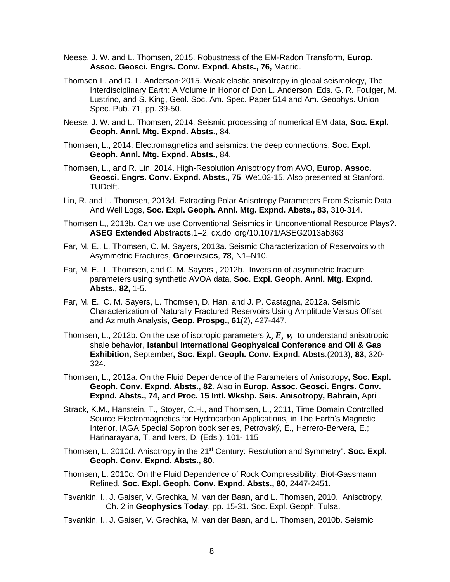- Neese, J. W. and L. Thomsen, 2015. Robustness of the EM-Radon Transform, **Europ. Assoc. Geosci. Engrs. Conv. Expnd. Absts., 76,** Madrid.
- Thomsen, L. and D. L. Anderson, 2015. Weak elastic anisotropy in global seismology, The Interdisciplinary Earth: A Volume in Honor of Don L. Anderson, Eds. G. R. Foulger, M. Lustrino, and S. King, Geol. Soc. Am. Spec. Paper 514 and Am. Geophys. Union Spec. Pub. 71, pp. 39-50.
- Neese, J. W. and L. Thomsen, 2014. Seismic processing of numerical EM data, **Soc. Expl. Geoph. Annl. Mtg. Expnd. Absts**., 84.
- Thomsen, L., 2014. Electromagnetics and seismics: the deep connections, **Soc. Expl. Geoph. Annl. Mtg. Expnd. Absts.**, 84.
- Thomsen, L., and R. Lin, 2014. High-Resolution Anisotropy from AVO, **Europ. Assoc. Geosci. Engrs. Conv. Expnd. Absts., 75**, We102-15. Also presented at Stanford, TUDelft.
- Lin, R. and L. Thomsen, 2013d. Extracting Polar Anisotropy Parameters From Seismic Data And Well Logs, **Soc. Expl. Geoph. Annl. Mtg. Expnd. Absts., 83,** 310-314.
- Thomsen L,, 2013b. Can we use Conventional Seismics in Unconventional Resource Plays?. **ASEG Extended Abstracts**,1–2, dx.doi.org/10.1071/ASEG2013ab363
- Far, M. E., L. Thomsen, C. M. Sayers, 2013a. Seismic Characterization of Reservoirs with Asymmetric Fractures, **GEOPHYSICS**, **78**, N1–N10.
- Far, M. E., L. Thomsen, and C. M. Sayers , 2012b. Inversion of asymmetric fracture parameters using synthetic AVOA data, **Soc. Expl. Geoph. Annl. Mtg. Expnd. Absts.**, **82,** 1-5.
- Far, M. E., C. M. Sayers, L. Thomsen, D. Han, and J. P. Castagna, 2012a. Seismic Characterization of Naturally Fractured Reservoirs Using Amplitude Versus Offset and Azimuth Analysis**, Geop. Prospg., 61**(2), 427-447.
- Thomsen, L., 2012b. On the use of isotropic parameters  $\lambda$ ,  $E$ ,  $\nu$ , to understand anisotropic shale behavior, **Istanbul International Geophysical Conference and Oil & Gas Exhibition,** September**, Soc. Expl. Geoph. Conv. Expnd. Absts**.(2013), **83,** 320- 324.
- Thomsen, L., 2012a. On the Fluid Dependence of the Parameters of Anisotropy**, Soc. Expl. Geoph. Conv. Expnd. Absts., 82**. Also in **Europ. Assoc. Geosci. Engrs. Conv. Expnd. Absts., 74,** and **Proc. 15 Intl. Wkshp. Seis. Anisotropy, Bahrain,** April.
- Strack, K.M., Hanstein, T., Stoyer, C.H., and Thomsen, L., 2011, Time Domain Controlled Source Electromagnetics for Hydrocarbon Applications, in The Earth's Magnetic Interior, IAGA Special Sopron book series, Petrovský, E., Herrero-Bervera, E.; Harinarayana, T. and Ivers, D. (Eds.), 101- 115
- Thomsen, L. 2010d. Anisotropy in the 21<sup>st</sup> Century: Resolution and Symmetry". **Soc. Expl. Geoph. Conv. Expnd. Absts., 80**.
- Thomsen, L. 2010c. On the Fluid Dependence of Rock Compressibility: Biot-Gassmann Refined. **Soc. Expl. Geoph. Conv. Expnd. Absts., 80**, 2447-2451.
- Tsvankin, I., J. Gaiser, V. Grechka, M. van der Baan, and L. Thomsen, 2010. Anisotropy, Ch. 2 in **Geophysics Today**, pp. 15-31. Soc. Expl. Geoph, Tulsa.
- Tsvankin, I., J. Gaiser, V. Grechka, M. van der Baan, and L. Thomsen, 2010b. Seismic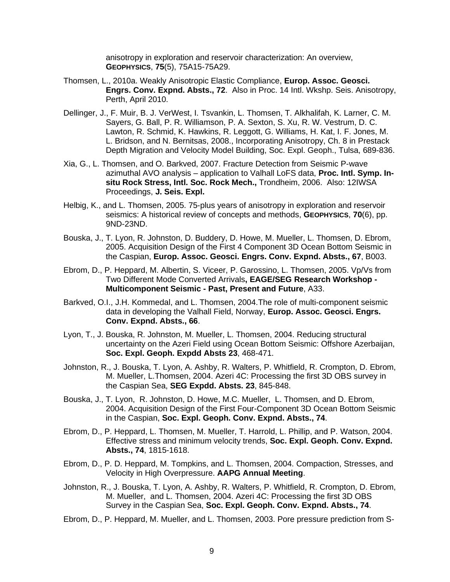anisotropy in exploration and reservoir characterization: An overview, **GEOPHYSICS**, **75**(5), 75A15-75A29.

- Thomsen, L., 2010a. Weakly Anisotropic Elastic Compliance, **Europ. Assoc. Geosci. Engrs. Conv. Expnd. Absts., 72**. Also in Proc. 14 Intl. Wkshp. Seis. Anisotropy, Perth, April 2010.
- Dellinger, J., F. Muir, B. J. VerWest, I. Tsvankin, L. Thomsen, T. Alkhalifah, K. Larner, C. M. Sayers, G. Ball, P. R. Williamson, P. A. Sexton, S. Xu, R. W. Vestrum, D. C. Lawton, R. Schmid, K. Hawkins, R. Leggott, G. Williams, H. Kat, I. F. Jones, M. L. Bridson, and N. Bernitsas, 2008., Incorporating Anisotropy, Ch. 8 in Prestack Depth Migration and Velocity Model Building, Soc. Expl. Geoph., Tulsa, 689-836.
- Xia, G., L. Thomsen, and O. Barkved, 2007. Fracture Detection from Seismic P-wave azimuthal AVO analysis – application to Valhall LoFS data, **Proc. Intl. Symp. Insitu Rock Stress, Intl. Soc. Rock Mech.,** Trondheim, 2006. Also: 12IWSA Proceedings, **J. Seis. Expl.**
- Helbig, K., and L. Thomsen, 2005. 75-plus years of anisotropy in exploration and reservoir seismics: A historical review of concepts and methods, **GEOPHYSICS**, **70**(6), pp. 9ND-23ND.
- Bouska, J., T. Lyon, R. Johnston, D. Buddery, D. Howe, M. Mueller, L. Thomsen, D. Ebrom, 2005. Acquisition Design of the First 4 Component 3D Ocean Bottom Seismic in the Caspian, **Europ. Assoc. Geosci. Engrs. Conv. Expnd. Absts., 67**, B003.
- [Ebrom,](http://www.earthdoc.org/results.php?stype=adv&txtAuthor=D.+Ebrom) D., [P. Heppard,](http://www.earthdoc.org/results.php?stype=adv&txtAuthor=P.+Heppard) [M. Albertin,](http://www.earthdoc.org/results.php?stype=adv&txtAuthor=M.+Albertin) [S. Viceer,](http://www.earthdoc.org/results.php?stype=adv&txtAuthor=S.+Viceer) [P. Garossino,](http://www.earthdoc.org/results.php?stype=adv&txtAuthor=P.+Garossino) [L. Thomsen,](http://www.earthdoc.org/results.php?stype=adv&txtAuthor=L.+Thomsen) 2005. [Vp/Vs from](http://www.earthdoc.org/detail.php?pubid=5100)  [Two Different Mode Converted Arrivals](http://www.earthdoc.org/detail.php?pubid=5100)**, [EAGE/SEG Research Workshop -](http://www.earthdoc.org/results.php?stype=adv&edition=17) [Multicomponent Seismic -](http://www.earthdoc.org/results.php?stype=adv&edition=17) Past, Present and Future**, A33.
- Barkved, O.I., J.H. Kommedal, and L. Thomsen, 2004.The role of multi-component seismic data in developing the Valhall Field, Norway, **Europ. Assoc. Geosci. Engrs. Conv. Expnd. Absts., 66**.
- Lyon, T., J. Bouska, R. Johnston, M. Mueller, L. Thomsen, 2004. Reducing structural uncertainty on the Azeri Field using Ocean Bottom Seismic: Offshore Azerbaijan, **Soc. Expl. Geoph. Expdd Absts 23**, 468-471.
- Johnston, R., J. Bouska, T. Lyon, A. Ashby, R. Walters, P. Whitfield, R. Crompton, D. Ebrom, M. Mueller, L.Thomsen, 2004. Azeri 4C: Processing the first 3D OBS survey in the Caspian Sea, **SEG Expdd. Absts. 23**, 845-848.
- Bouska, J., T. Lyon, R. Johnston, D. Howe, M.C. Mueller, L. Thomsen, and D. Ebrom, 2004. Acquisition Design of the First Four-Component 3D Ocean Bottom Seismic in the Caspian, **Soc. Expl. Geoph. Conv. Expnd. Absts., 74**.
- Ebrom, D., P. Heppard, L. Thomsen, M. Mueller, T. Harrold, L. Phillip, and P. Watson, 2004. Effective stress and minimum velocity trends, **Soc. Expl. Geoph. Conv. Expnd. Absts., 74**, 1815-1618.
- Ebrom, D., P. D. Heppard, M. Tompkins, and L. Thomsen, 2004. Compaction, Stresses, and Velocity in High Overpressure. **AAPG Annual Meeting**.
- Johnston, R., J. Bouska, T. Lyon, A. Ashby, R. Walters, P. Whitfield, R. Crompton, D. Ebrom, M. Mueller, and L. Thomsen, 2004. Azeri 4C: Processing the first 3D OBS Survey in the Caspian Sea, **Soc. Expl. Geoph. Conv. Expnd. Absts., 74**.
- Ebrom, D., P. Heppard, M. Mueller, and L. Thomsen, 2003. Pore pressure prediction from S-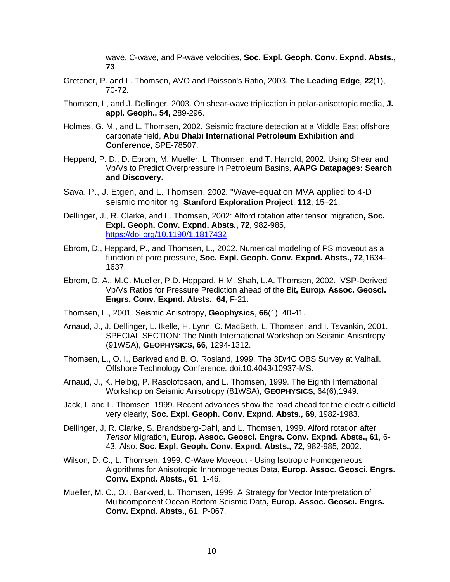wave, C-wave, and P-wave velocities, **Soc. Expl. Geoph. Conv. Expnd. Absts., 73**.

- Gretener, P. and L. Thomsen, AVO and Poisson's Ratio, 2003. **The Leading Edge**, **22**(1), 70-72.
- Thomsen, L, and J. Dellinger, 2003. On shear-wave triplication in polar-anisotropic media, **J. appl. Geoph., 54,** 289-296.
- Holmes, G. M., and L. Thomsen, 2002. Seismic fracture detection at a Middle East offshore carbonate field, **Abu Dhabi International Petroleum Exhibition and Conference**, SPE-78507.
- Heppard, P. D., D. Ebrom, M. Mueller, L. Thomsen, and T. Harrold, 2002. Using Shear and Vp/Vs to Predict Overpressure in Petroleum Basins, **AAPG Datapages: Search and Discovery.**
- Sava, P., J. Etgen, and L. Thomsen, 2002. "Wave-equation MVA applied to 4-D seismic monitoring, **Stanford Exploration Project**, **112**, 15–21.
- Dellinger, J., R. Clarke, and L. Thomsen, 2002: Alford rotation after tensor migration**, Soc. Expl. Geoph. Conv. Expnd. Absts., 72**, 982-985, <https://doi.org/10.1190/1.1817432>
- Ebrom, D., Heppard, P., and Thomsen, L., 2002. Numerical modeling of PS moveout as a function of pore pressure, **Soc. Expl. Geoph. Conv. Expnd. Absts., 72**,1634- 1637.
- [Ebrom,](http://earthdoc.eage.org/results.php?stype=adv&txtAuthor=D.A.+Ebrom) D. A., [M.C. Mueller,](http://earthdoc.eage.org/results.php?stype=adv&txtAuthor=M.C.+Mueller) [P.D. Heppard,](http://earthdoc.eage.org/results.php?stype=adv&txtAuthor=P.D.+Heppard) [H.M. Shah,](http://earthdoc.eage.org/results.php?stype=adv&txtAuthor=H.M.+Shah) [L.A. Thomsen,](http://earthdoc.eage.org/results.php?stype=adv&txtAuthor=L.A.+Thomsen) 2002. [VSP-Derived](http://earthdoc.eage.org/detail.php?pubid=5796)  [Vp/Vs Ratios for Pressure Prediction ahead of the](http://earthdoc.eage.org/detail.php?pubid=5796) Bit**, Europ. Assoc. Geosci. Engrs. Conv. Expnd. Absts.**, **64,** F-21.
- Thomsen, L., 2001. Seismic Anisotropy, **Geophysics**, **66**(1), 40-41.
- Arnaud, J., J. Dellinger, L. Ikelle, H. Lynn, C. MacBeth, L. Thomsen, and I. Tsvankin, 2001. SPECIAL SECTION: The Ninth International Workshop on Seismic Anisotropy (91WSA), **GEOPHYSICS, 66**, 1294-1312.
- Thomsen, L., O. I., Barkved and B. O. Rosland, 1999. The 3D/4C OBS Survey at Valhall. Offshore Technology Conference. doi:10.4043/10937-MS.
- Arnaud, J., K. Helbig, P. Rasolofosaon, and L. Thomsen, 1999. The Eighth International Workshop on Seismic Anisotropy (81WSA), **GEOPHYSICS,** 64(6),1949.
- Jack, I. and L. Thomsen, 1999. Recent advances show the road ahead for the electric oilfield very clearly, **Soc. Expl. Geoph. Conv. Expnd. Absts., 69**, 1982-1983.
- Dellinger, J, R. Clarke, S. Brandsberg-Dahl, and L. Thomsen, 1999. Alford rotation after *Tensor* Migration, **Europ. Assoc. Geosci. Engrs. Conv. Expnd. Absts., 61**, 6- 43. Also: **Soc. Expl. Geoph. Conv. Expnd. Absts., 72**, 982-985, 2002.
- [Wilson,](http://earthdoc.eage.org/results.php?stype=adv&txtAuthor=D.C.+Wilson) D. C., [L. Thomsen,](http://earthdoc.eage.org/results.php?stype=adv&txtAuthor=L.+Thomsen) 1999. C-Wave Moveout [Using Isotropic Homogeneous](http://earthdoc.eage.org/detail.php?pubid=31812)  [Algorithms for Anisotropic Inhomogeneous Data](http://earthdoc.eage.org/detail.php?pubid=31812)**, Europ. Assoc. Geosci. Engrs. Conv. Expnd. Absts., 61**, 1-46.
- [Mueller,](http://earthdoc.eage.org/results.php?stype=adv&txtAuthor=M.C.+Mueller) M. C., [O.I. Barkved,](http://earthdoc.eage.org/results.php?stype=adv&txtAuthor=O.I.+Barkved) [L. Thomsen,](http://earthdoc.eage.org/results.php?stype=adv&txtAuthor=L.+Thomsen) 1999. [A Strategy for Vector Interpretation of](http://earthdoc.eage.org/detail.php?pubid=31980)  [Multicomponent Ocean Bottom Seismic Data](http://earthdoc.eage.org/detail.php?pubid=31980)**, Europ. Assoc. Geosci. Engrs. Conv. Expnd. Absts., 61**, P-067.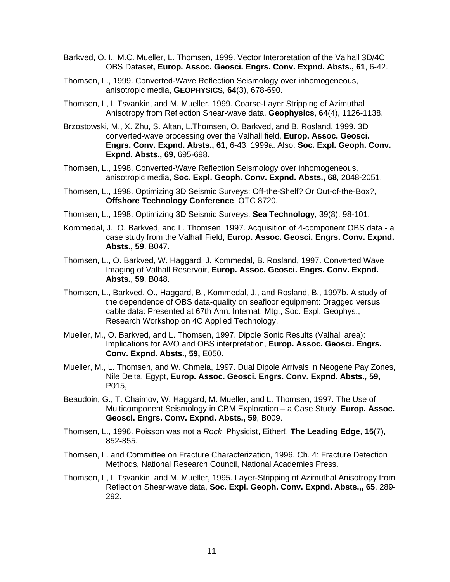- [Barkved,](http://earthdoc.eage.org/results.php?stype=adv&txtAuthor=O.I.+Barkved) O. I., [M.C. Mueller,](http://earthdoc.eage.org/results.php?stype=adv&txtAuthor=M.C.+Mueller) [L. Thomsen,](http://earthdoc.eage.org/results.php?stype=adv&txtAuthor=L.+Thomsen) 1999. [Vector Interpretation of the Valhall 3D/4C](http://earthdoc.eage.org/detail.php?pubid=31877)  [OBS Dataset](http://earthdoc.eage.org/detail.php?pubid=31877)**, Europ. Assoc. Geosci. Engrs. Conv. Expnd. Absts., 61**, 6-42.
- Thomsen, L., 1999. Converted-Wave Reflection Seismology over inhomogeneous, anisotropic media, **GEOPHYSICS**, **64**(3), 678-690.
- Thomsen, L, I. Tsvankin, and M. Mueller, 1999. Coarse-Layer Stripping of Azimuthal Anisotropy from Reflection Shear-wave data, **Geophysics**, **64**(4), 1126-1138.
- Brzostowski, M., X. Zhu, S. Altan, L.Thomsen, O. Barkved, and B. Rosland, 1999. 3D converted-wave processing over the Valhall field, **Europ. Assoc. Geosci. Engrs. Conv. Expnd. Absts., 61**, 6-43, 1999a. Also: **Soc. Expl. Geoph. Conv. Expnd. Absts., 69**, 695-698.
- Thomsen, L., 1998. Converted-Wave Reflection Seismology over inhomogeneous, anisotropic media, **Soc. Expl. Geoph. Conv. Expnd. Absts., 68**, 2048-2051.
- Thomsen, L., 1998. Optimizing 3D Seismic Surveys: Off-the-Shelf? Or Out-of-the-Box?, **Offshore Technology Conference**, OTC 8720.
- Thomsen, L., 1998. Optimizing 3D Seismic Surveys, **Sea Technology**, 39(8), 98-101.
- Kommedal, J., O. Barkved, and L. Thomsen, 1997. Acquisition of 4-component OBS data a case study from the Valhall Field, **Europ. Assoc. Geosci. Engrs. Conv. Expnd. Absts., 59**, B047.
- Thomsen, L., O. Barkved, W. Haggard, J. Kommedal, B. Rosland, 1997. Converted Wave Imaging of Valhall Reservoir, **Europ. Assoc. Geosci. Engrs. Conv. Expnd. Absts.**, **59**, B048.
- Thomsen, L., Barkved, O., Haggard, B., Kommedal, J., and Rosland, B., 1997b. A study of the dependence of OBS data-quality on seafloor equipment: Dragged versus cable data: Presented at 67th Ann. Internat. Mtg., Soc. Expl. Geophys., Research Workshop on 4C Applied Technology.
- Mueller, M., O. Barkved, and L. Thomsen, 1997. Dipole Sonic Results (Valhall area): Implications for AVO and OBS interpretation, **Europ. Assoc. Geosci. Engrs. Conv. Expnd. Absts., 59,** E050.
- Mueller, M., L. Thomsen, and W. Chmela, 1997. Dual Dipole Arrivals in Neogene Pay Zones, Nile Delta, Egypt, **Europ. Assoc. Geosci. Engrs. Conv. Expnd. Absts., 59,** P015,
- Beaudoin, G., T. Chaimov, W. Haggard, M. Mueller, and L. Thomsen, 1997. The Use of Multicomponent Seismology in CBM Exploration – a Case Study, **Europ. Assoc. Geosci. Engrs. Conv. Expnd. Absts., 59**, B009.
- Thomsen, L., 1996. Poisson was not a *Rock* Physicist, Either!, **The Leading Edge**, **15**(7), 852-855.
- Thomsen, L. and Committee on Fracture Characterization, 1996. Ch. 4: Fracture Detection Methods, National Research Council, National Academies Press.
- Thomsen, L, I. Tsvankin, and M. Mueller, 1995. Layer-Stripping of Azimuthal Anisotropy from Reflection Shear-wave data, **Soc. Expl. Geoph. Conv. Expnd. Absts.,, 65**, 289- 292.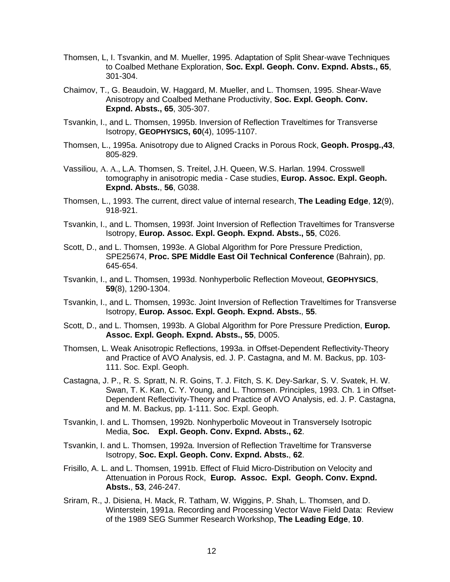- Thomsen, L, I. Tsvankin, and M. Mueller, 1995. Adaptation of Split Shear-wave Techniques to Coalbed Methane Exploration, **Soc. Expl. Geoph. Conv. Expnd. Absts., 65**, 301-304.
- Chaimov, T., G. Beaudoin, W. Haggard, M. Mueller, and L. Thomsen, 1995. Shear-Wave Anisotropy and Coalbed Methane Productivity, **Soc. Expl. Geoph. Conv. Expnd. Absts., 65**, 305-307.
- Tsvankin, I., and L. Thomsen, 1995b. Inversion of Reflection Traveltimes for Transverse Isotropy, **GEOPHYSICS, 60**(4), 1095-1107.
- Thomsen, L., 1995a. Anisotropy due to Aligned Cracks in Porous Rock, **Geoph. Prospg.,43**, 805-829.
- [Vassiliou,](http://earthdoc.eage.org/results.php?stype=adv&txtAuthor=A.A.+Vassiliou) [L.A. Thomsen,](http://earthdoc.eage.org/results.php?stype=adv&txtAuthor=L.A.+Thomsen) [S. Treitel,](http://earthdoc.eage.org/results.php?stype=adv&txtAuthor=S.+Treitel) [J.H. Queen,](http://earthdoc.eage.org/results.php?stype=adv&txtAuthor=J.H.+Queen) [W.S. Harlan.](http://earthdoc.eage.org/results.php?stype=adv&txtAuthor=W.S.+Harlan) 1994. [Crosswell](http://earthdoc.eage.org/detail.php?pubid=12553)  tomography in [anisotropic media -](http://earthdoc.eage.org/detail.php?pubid=12553) Case studies, **Europ. Assoc. Expl. Geoph. Expnd. Absts.**, **56**, G038.
- Thomsen, L., 1993. The current, direct value of internal research, **The Leading Edge**, **12**(9), 918-921.
- Tsvankin, I., and L. Thomsen, 1993f. Joint Inversion of Reflection Traveltimes for Transverse Isotropy, **Europ. Assoc. Expl. Geoph. Expnd. Absts., 55**, C026.
- Scott, D., and L. Thomsen, 1993e. A Global Algorithm for Pore Pressure Prediction, SPE25674, **Proc. SPE Middle East Oil Technical Conference** (Bahrain), pp. 645-654.
- Tsvankin, I., and L. Thomsen, 1993d. Nonhyperbolic Reflection Moveout, **GEOPHYSICS**, **59**(8), 1290-1304.
- Tsvankin, I., and L. Thomsen, 1993c. Joint Inversion of Reflection Traveltimes for Transverse Isotropy, **Europ. Assoc. Expl. Geoph. Expnd. Absts.**, **55**.
- Scott, D., and L. Thomsen, 1993b. A Global Algorithm for Pore Pressure Prediction, **Europ. Assoc. Expl. Geoph. Expnd. Absts., 55**, D005.
- Thomsen, L. Weak Anisotropic Reflections, 1993a. in Offset-Dependent Reflectivity-Theory and Practice of AVO Analysis, ed. J. P. Castagna, and M. M. Backus, pp. 103- 111. Soc. Expl. Geoph.
- Castagna, J. P., R. S. Spratt, N. R. Goins, T. J. Fitch, S. K. Dey-Sarkar, S. V. Svatek, H. W. Swan, T. K. Kan, C. Y. Young, and L. Thomsen. Principles, 1993. Ch. 1 in Offset-Dependent Reflectivity-Theory and Practice of AVO Analysis, ed. J. P. Castagna, and M. M. Backus, pp. 1-111. Soc. Expl. Geoph.
- Tsvankin, I. and L. Thomsen, 1992b. Nonhyperbolic Moveout in Transversely Isotropic Media, **Soc. Expl. Geoph. Conv. Expnd. Absts., 62**.
- Tsvankin, I. and L. Thomsen, 1992a. Inversion of Reflection Traveltime for Transverse Isotropy, **Soc. Expl. Geoph. Conv. Expnd. Absts.**, **62**.
- Frisillo, A. L. and L. Thomsen, 1991b. Effect of Fluid Micro-Distribution on Velocity and Attenuation in Porous Rock, **Europ. Assoc. Expl. Geoph. Conv. Expnd. Absts.**, **53**, 246-247.
- Sriram, R., J. Disiena, H. Mack, R. Tatham, W. Wiggins, P. Shah, L. Thomsen, and D. Winterstein, 1991a. Recording and Processing Vector Wave Field Data: Review of the 1989 SEG Summer Research Workshop, **The Leading Edge**, **10**.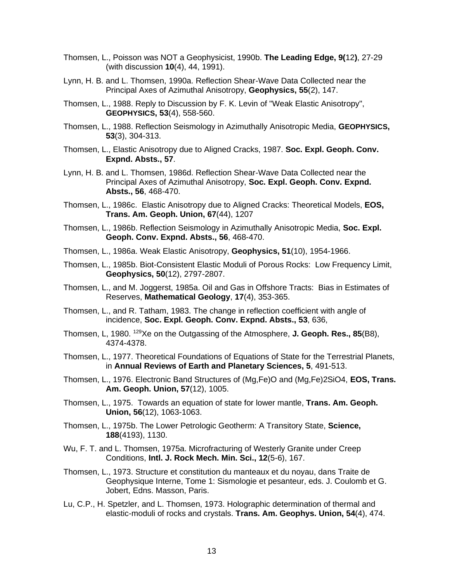- Thomsen, L., Poisson was NOT a Geophysicist, 1990b. **The Leading Edge, 9(**12**)**, 27-29 (with discussion **10**(4), 44, 1991).
- Lynn, H. B. and L. Thomsen, 1990a. Reflection Shear-Wave Data Collected near the Principal Axes of Azimuthal Anisotropy, **Geophysics, 55**(2), 147.
- Thomsen, L., 1988. Reply to Discussion by F. K. Levin of "Weak Elastic Anisotropy", **GEOPHYSICS, 53**(4), 558-560.
- Thomsen, L., 1988. Reflection Seismology in Azimuthally Anisotropic Media, **GEOPHYSICS, 53**(3), 304-313.
- Thomsen, L., Elastic Anisotropy due to Aligned Cracks, 1987. **Soc. Expl. Geoph. Conv. Expnd. Absts., 57**.
- Lynn, H. B. and L. Thomsen, 1986d. Reflection Shear-Wave Data Collected near the Principal Axes of Azimuthal Anisotropy, **Soc. Expl. Geoph. Conv. Expnd. Absts., 56**, 468-470.
- Thomsen, L., 1986c. Elastic Anisotropy due to Aligned Cracks: Theoretical Models, **EOS, Trans. Am. Geoph. Union, 67**(44), 1207
- Thomsen, L., 1986b. Reflection Seismology in Azimuthally Anisotropic Media, **Soc. Expl. Geoph. Conv. Expnd. Absts., 56**, 468-470.
- Thomsen, L., 1986a. Weak Elastic Anisotropy, **Geophysics, 51**(10), 1954-1966.
- Thomsen, L., 1985b. Biot-Consistent Elastic Moduli of Porous Rocks: Low Frequency Limit, **Geophysics, 50**(12), 2797-2807.
- Thomsen, L., and M. Joggerst, 1985a. Oil and Gas in Offshore Tracts: Bias in Estimates of Reserves, **Mathematical Geology**, **17**(4), 353-365.
- Thomsen, L., and R. Tatham, 1983. The change in reflection coefficient with angle of incidence, **Soc. Expl. Geoph. Conv. Expnd. Absts., 53**, 636,
- Thomsen, L, 1980. <sup>129</sup>Xe on the Outgassing of the Atmosphere, **J. Geoph. Res., 85**(B8), 4374-4378.
- Thomsen, L., 1977. Theoretical Foundations of Equations of State for the Terrestrial Planets, in **Annual Reviews of Earth and Planetary Sciences, 5**, 491-513.
- Thomsen, L., 1976. Electronic Band Structures of (Mg,Fe)O and (Mg,Fe)2SiO4, **EOS, Trans. Am. Geoph. Union, 57**(12), 1005.
- Thomsen, L., 1975. Towards an equation of state for lower mantle, **Trans. Am. Geoph. Union, 56**(12), 1063-1063.
- Thomsen, L., 1975b. The Lower Petrologic Geotherm: A Transitory State, **Science, 188**(4193), 1130.
- Wu, F. T. and L. Thomsen, 1975a. Microfracturing of Westerly Granite under Creep Conditions, **Intl. J. Rock Mech. Min. Sci., 12**(5-6), 167.
- Thomsen, L., 1973. Structure et constitution du manteaux et du noyau, dans Traite de Geophysique Interne, Tome 1: Sismologie et pesanteur, eds. J. Coulomb et G. Jobert, Edns. Masson, Paris.
- Lu, C.P., H. Spetzler, and L. Thomsen, 1973. Holographic determination of thermal and elastic-moduli of rocks and crystals. **Trans. Am. Geophys. Union, 54**(4), 474.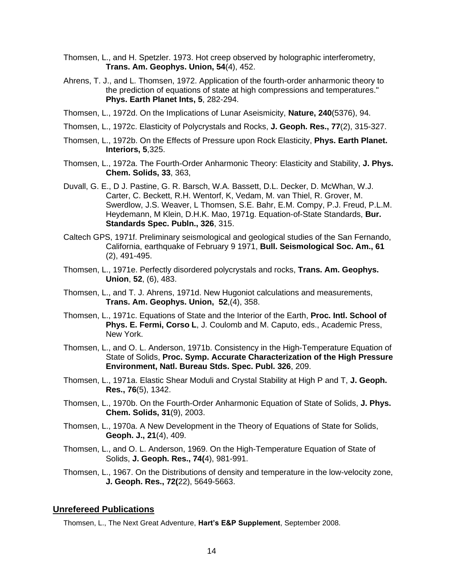- Thomsen, L., and H. Spetzler. 1973. Hot creep observed by holographic interferometry, **Trans. Am. Geophys. Union, 54**(4), 452.
- Ahrens, T. J., and L. Thomsen, 1972. Application of the fourth-order anharmonic theory to the prediction of equations of state at high compressions and temperatures." **Phys. Earth Planet Ints, 5**, 282-294.
- Thomsen, L., 1972d. On the Implications of Lunar Aseismicity, **Nature, 240**(5376), 94.
- Thomsen, L., 1972c. Elasticity of Polycrystals and Rocks, **J. Geoph. Res., 77**(2), 315-327.
- Thomsen, L., 1972b. On the Effects of Pressure upon Rock Elasticity, **Phys. Earth Planet. Interiors, 5**,325.
- Thomsen, L., 1972a. The Fourth-Order Anharmonic Theory: Elasticity and Stability, **J. Phys. Chem. Solids, 33**, 363,
- Duvall, G. E., D J. Pastine, G. R. Barsch, W.A. Bassett, D.L. Decker, D. McWhan, W.J. Carter, C. Beckett, R.H. Wentorf, K, Vedam, M. van Thiel, R. Grover, M. Swerdlow, J.S. Weaver, L Thomsen, S.E. Bahr, E.M. Compy, P.J. Freud, P.L.M. Heydemann, M Klein, D.H.K. Mao, 1971g. Equation-of-State Standards, **Bur. Standards Spec. Publn., 326**, 315.
- Caltech GPS, 1971f. Preliminary seismological and geological studies of the San Fernando, California, earthquake of February 9 1971, **Bull. Seismological Soc. Am., 61**  (2), 491-495.
- Thomsen, L., 1971e. Perfectly disordered polycrystals and rocks, **Trans. Am. Geophys. Union**, **52**, (6), 483.
- Thomsen, L., and T. J. Ahrens, 1971d. New Hugoniot calculations and measurements, **Trans. Am. Geophys. Union, 52**,(4), 358.
- Thomsen, L., 1971c. Equations of State and the Interior of the Earth, **Proc. Intl. School of Phys. E. Fermi, Corso L**, J. Coulomb and M. Caputo, eds., Academic Press, New York.
- Thomsen, L., and O. L. Anderson, 1971b. Consistency in the High-Temperature Equation of State of Solids, **Proc. Symp. Accurate Characterization of the High Pressure Environment, Natl. Bureau Stds. Spec. Publ. 326**, 209.
- Thomsen, L., 1971a. Elastic Shear Moduli and Crystal Stability at High P and T, **J. Geoph. Res., 76**(5), 1342.
- Thomsen, L., 1970b. On the Fourth-Order Anharmonic Equation of State of Solids, **J. Phys. Chem. Solids, 31**(9), 2003.
- Thomsen, L., 1970a. A New Development in the Theory of Equations of State for Solids, **Geoph. J., 21**(4), 409.
- Thomsen, L., and O. L. Anderson, 1969. On the High-Temperature Equation of State of Solids, **J. Geoph. Res., 74(**4), 981-991.
- Thomsen, L., 1967. On the Distributions of density and temperature in the low-velocity zone, **J. Geoph. Res., 72(**22), 5649-5663.

#### **Unrefereed Publications**

Thomsen, L., The Next Great Adventure, **Hart's E&P Supplement**, September 2008.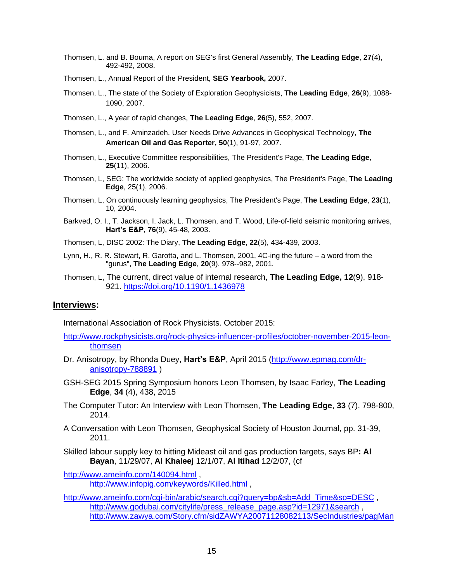- Thomsen, L. and B. Bouma, A report on SEG's first General Assembly, **The Leading Edge**, **27**(4), 492-492, 2008.
- Thomsen, L., Annual Report of the President, **SEG Yearbook,** 2007.
- Thomsen, L., The state of the Society of Exploration Geophysicists, **The Leading Edge**, **26**(9), 1088- 1090, 2007.
- Thomsen, L., A year of rapid changes, **The Leading Edge**, **26**(5), 552, 2007.
- Thomsen, L., and F. Aminzadeh, User Needs Drive Advances in Geophysical Technology, **The American Oil and Gas Reporter, 50**(1), 91-97, 2007.
- Thomsen, L., Executive Committee responsibilities, The President's Page, **The Leading Edge**, **25**(11), 2006.
- Thomsen, L, SEG: The worldwide society of applied geophysics, The President's Page, **The Leading Edge**, 25(1), 2006.
- Thomsen, L, On continuously learning geophysics, The President's Page, **The Leading Edge**, **23**(1), 10, 2004.
- Barkved, O. I., T. Jackson, I. Jack, L. Thomsen, and T. Wood, Life-of-field seismic monitoring arrives, **Hart's E&P, 76**(9), 45-48, 2003.
- Thomsen, L, DISC 2002: The Diary, **The Leading Edge**, **22**(5), 434-439, 2003.
- Lynn, H., R. R. Stewart, R. Garotta, and L. Thomsen, 2001, 4C-ing the future a word from the "gurus", **The Leading Edge**, **20**(9), 978--982, 2001.
- Thomsen, L, The current, direct value of internal research, **The Leading Edge, 12**(9), 918- 921.<https://doi.org/10.1190/1.1436978>

#### **Interviews:**

International Association of Rock Physicists. October 2015:

- [http://www.rockphysicists.org/rock-physics-influencer-profiles/october-november-2015-leon](http://www.rockphysicists.org/rock-physics-influencer-profiles/october-november-2015-leon-thomsen)[thomsen](http://www.rockphysicists.org/rock-physics-influencer-profiles/october-november-2015-leon-thomsen)
- Dr. Anisotropy, by Rhonda Duey, **Hart's E&P**, April 2015 [\(http://www.epmag.com/dr](http://www.epmag.com/dr-anisotropy-788891)[anisotropy-788891](http://www.epmag.com/dr-anisotropy-788891) )
- GSH-SEG 2015 Spring Symposium honors Leon Thomsen, by Isaac Farley, **The Leading Edge**, **34** (4), 438, 2015
- The Computer Tutor: An Interview with Leon Thomsen, **The Leading Edge**, **33** (7), 798-800, 2014.
- A Conversation with Leon Thomsen, Geophysical Society of Houston Journal, pp. 31-39, 2011.
- Skilled labour supply key to hitting Mideast oil and gas production targets, says BP**: Al Bayan**, 11/29/07, **Al Khaleej** 12/1/07, **Al Itihad** 12/2/07, (cf

<http://www.ameinfo.com/140094.html> ,

<http://www.infopig.com/keywords/Killed.html> ,

[http://www.ameinfo.com/cgi-bin/arabic/search.cgi?query=bp&sb=Add\\_Time&so=DESC](http://www.ameinfo.com/cgi-bin/arabic/search.cgi?query=bp&sb=Add_Time&so=DESC), [http://www.godubai.com/citylife/press\\_release\\_page.asp?id=12971&search](http://www.godubai.com/citylife/press_release_page.asp?id=12971&search), [http://www.zawya.com/Story.cfm/sidZAWYA20071128082113/SecIndustries/pagMan](http://www.zawya.com/Story.cfm/sidZAWYA20071128082113/SecIndustries/pagManufacturing/chnMiddle%20East%20Manufacturing%20News/obj4469E093-15C5-E7B8-FF9C1010F3AAA468/)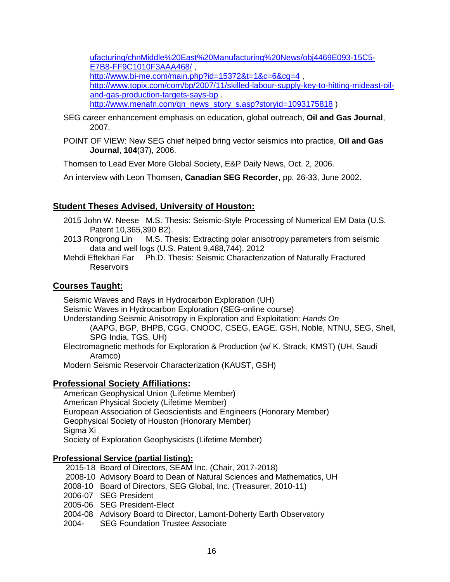[ufacturing/chnMiddle%20East%20Manufacturing%20News/obj4469E093-15C5-](http://www.zawya.com/Story.cfm/sidZAWYA20071128082113/SecIndustries/pagManufacturing/chnMiddle%20East%20Manufacturing%20News/obj4469E093-15C5-E7B8-FF9C1010F3AAA468/) [E7B8-FF9C1010F3AAA468/](http://www.zawya.com/Story.cfm/sidZAWYA20071128082113/SecIndustries/pagManufacturing/chnMiddle%20East%20Manufacturing%20News/obj4469E093-15C5-E7B8-FF9C1010F3AAA468/) , <http://www.bi-me.com/main.php?id=15372&t=1&c=6&cg=4>, [http://www.topix.com/com/bp/2007/11/skilled-labour-supply-key-to-hitting-mideast-oil](http://www.topix.com/com/bp/2007/11/skilled-labour-supply-key-to-hitting-mideast-oil-and-gas-production-targets-says-bp)[and-gas-production-targets-says-bp](http://www.topix.com/com/bp/2007/11/skilled-labour-supply-key-to-hitting-mideast-oil-and-gas-production-targets-says-bp) . [http://www.menafn.com/qn\\_news\\_story\\_s.asp?storyid=1093175818](http://www.menafn.com/qn_news_story_s.asp?storyid=1093175818) )

- SEG career enhancement emphasis on education, global outreach, **Oil and Gas Journal**, 2007.
- POINT OF VIEW: New SEG chief helped bring vector seismics into practice, **Oil and Gas Journal**, **104**(37), 2006.

Thomsen to Lead Ever More Global Society, E&P Daily News, Oct. 2, 2006.

An interview with Leon Thomsen, **Canadian SEG Recorder**, pp. 26-33, June 2002.

#### **Student Theses Advised, University of Houston:**

- 2015 John W. Neese M.S. Thesis: Seismic-Style Processing of Numerical EM Data (U.S. Patent 10,365,390 B2).
- 2013 Rongrong Lin M.S. Thesis: Extracting polar anisotropy parameters from seismic data and well logs (U.S. Patent 9,488,744). 2012
- Mehdi Eftekhari Far Ph.D. Thesis: Seismic Characterization of Naturally Fractured **Reservoirs**

#### **Courses Taught:**

Seismic Waves and Rays in Hydrocarbon Exploration (UH) Seismic Waves in Hydrocarbon Exploration (SEG-online course) Understanding Seismic Anisotropy in Exploration and Exploitation: *Hands On* (AAPG, BGP, BHPB, CGG, CNOOC, CSEG, EAGE, GSH, Noble, NTNU, SEG, Shell, SPG India, TGS, UH) Electromagnetic methods for Exploration & Production (w/ K. Strack, KMST) (UH, Saudi Aramco)

Modern Seismic Reservoir Characterization (KAUST, GSH)

#### **Professional Society Affiliations:**

American Geophysical Union (Lifetime Member) American Physical Society (Lifetime Member) European Association of Geoscientists and Engineers (Honorary Member) Geophysical Society of Houston (Honorary Member) Sigma Xi Society of Exploration Geophysicists (Lifetime Member)

#### **Professional Service (partial listing):**

- 2015-18 Board of Directors, SEAM Inc. (Chair, 2017-2018)
- 2008-10 Advisory Board to Dean of Natural Sciences and Mathematics, UH
- 2008-10 Board of Directors, SEG Global, Inc. (Treasurer, 2010-11)
- 2006-07 SEG President
- 2005-06 SEG President-Elect
- 2004-08 Advisory Board to Director, Lamont-Doherty Earth Observatory
- 2004- SEG Foundation Trustee Associate